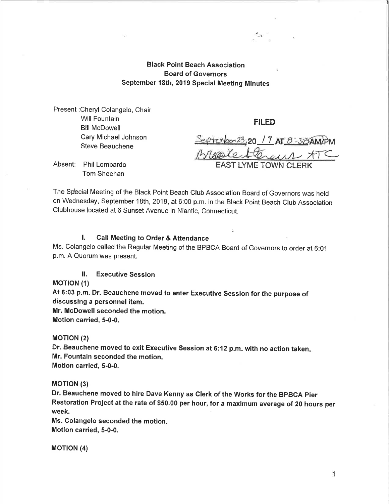Black Point Beach Association Board of Governors September 18th, 2019 Special Meeting Minutes

Present :Cheryl Colangelo, Chair Will Fountain Bill McDowell Cary Michael Johnson Steve Beauchene

FILED

Septembor 23, 20 1 9 AT 8:38 AM/PM Breakesterent ATC **I YME TOWN CLERK** 

Absent: Phil Lombardo Tom Sheehan

The Spbcial Meeting of the Black Point Beach Club Association Board of Governors was held on Wednesday, September 1Bth, 2019, at 6:00 p.m. in the Black Point Beach Club Association Clubhouse located at 6 Sunset Avenue in Niantic, Connecticut.

## l. Call Meeting to Order & Attendance

Ms. Colangelo called the Regular Meeting of the BPBCA Board of Governors to order at 6:01 p.m.A Quorum was present.

ll. Executive Session

## **MOTION (1)**

At 6:03 p.m. Dr. Beauchene moved to enter Executive Session for the purpose of discussing a personnel item.

Mr. McDowell seconded the motion.

Motion carried, 5-0-0.

## **MOTION (2)**

Dr. Beauchene moved to exit Executive Session at 6:12 p.m. with no action taken. Mr. Fountain seconded the motion. Motion carried, 5-0-0.

## **MOTION (3)**

Dr. Beauchene moved to hire Dave Kenny as Clerk of the Works for the BPBCA pier Restoration Project at the rate of \$50.00 per hour, for a maximum average of 20 hours per week.

Ms. Golangelo seconded the motion. Motion carried, 5-0-0.

**MOTION (4)**